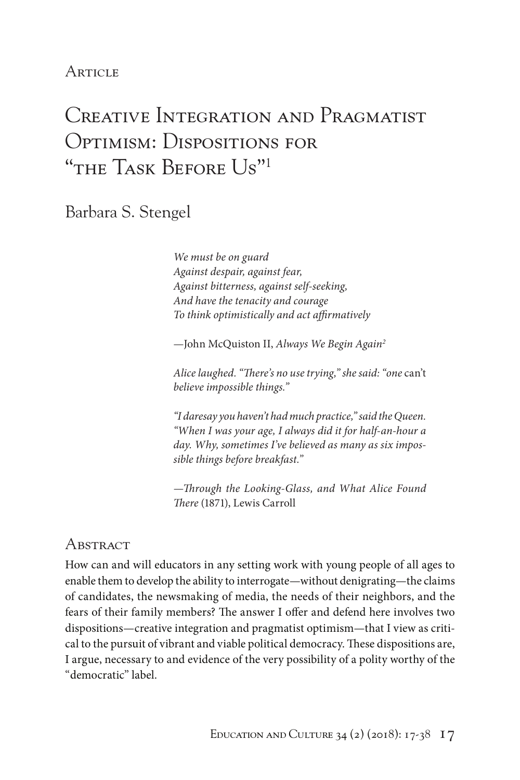# **ARTICLE**

# Creative Integration and Pragmatist Optimism: Dispositions for "THE TASK BEFORE US"<sup>1</sup>

Barbara S. Stengel

*We must be on guard Against despair, against fear, Against bitterness, against self-seeking, And have the tenacity and courage To think optimistically and act affirmatively*

—John McQuiston II, *Always We Begin Again2*

*Alice laughed. "There's no use trying," she said: "one* can't *believe impossible things."*

*"I daresay you haven't had much practice," said the Queen. "When I was your age, I always did it for half-an-hour a day. Why, sometimes I've believed as many as six impossible things before breakfast."*

*—Through the Looking-Glass, and What Alice Found There* (1871), Lewis Carroll

## Abstract

How can and will educators in any setting work with young people of all ages to enable them to develop the ability to interrogate—without denigrating—the claims of candidates, the newsmaking of media, the needs of their neighbors, and the fears of their family members? The answer I offer and defend here involves two dispositions—creative integration and pragmatist optimism—that I view as critical to the pursuit of vibrant and viable political democracy. These dispositions are, I argue, necessary to and evidence of the very possibility of a polity worthy of the "democratic" label.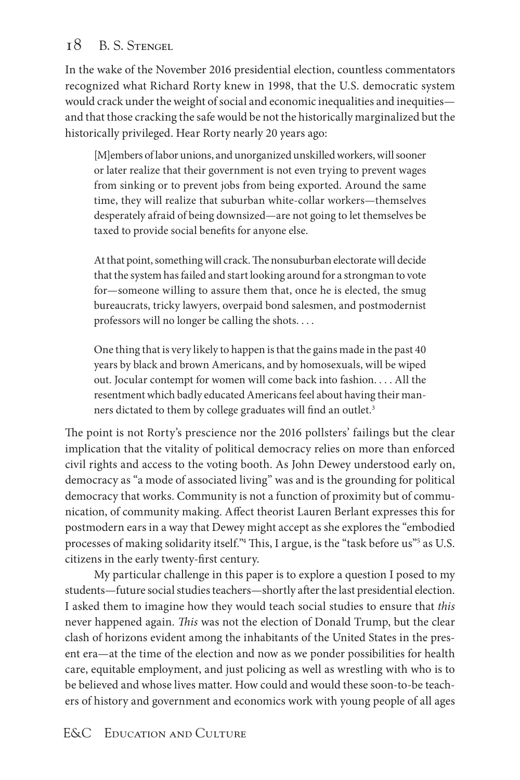In the wake of the November 2016 presidential election, countless commentators recognized what Richard Rorty knew in 1998, that the U.S. democratic system would crack under the weight of social and economic inequalities and inequities and that those cracking the safe would be not the historically marginalized but the historically privileged. Hear Rorty nearly 20 years ago:

[M]embers of labor unions, and unorganized unskilled workers, will sooner or later realize that their government is not even trying to prevent wages from sinking or to prevent jobs from being exported. Around the same time, they will realize that suburban white-collar workers—themselves desperately afraid of being downsized—are not going to let themselves be taxed to provide social benefits for anyone else.

At that point, something will crack. The nonsuburban electorate will decide that the system has failed and start looking around for a strongman to vote for—someone willing to assure them that, once he is elected, the smug bureaucrats, tricky lawyers, overpaid bond salesmen, and postmodernist professors will no longer be calling the shots. . . .

One thing that is very likely to happen is that the gains made in the past 40 years by black and brown Americans, and by homosexuals, will be wiped out. Jocular contempt for women will come back into fashion. . . . All the resentment which badly educated Americans feel about having their manners dictated to them by college graduates will find an outlet.<sup>3</sup>

The point is not Rorty's prescience nor the 2016 pollsters' failings but the clear implication that the vitality of political democracy relies on more than enforced civil rights and access to the voting booth. As John Dewey understood early on, democracy as "a mode of associated living" was and is the grounding for political democracy that works. Community is not a function of proximity but of communication, of community making. Affect theorist Lauren Berlant expresses this for postmodern ears in a way that Dewey might accept as she explores the "embodied processes of making solidarity itself."4 This, I argue, is the "task before us"5 as U.S. citizens in the early twenty-first century.

My particular challenge in this paper is to explore a question I posed to my students—future social studies teachers—shortly after the last presidential election. I asked them to imagine how they would teach social studies to ensure that *this* never happened again. *This* was not the election of Donald Trump, but the clear clash of horizons evident among the inhabitants of the United States in the present era—at the time of the election and now as we ponder possibilities for health care, equitable employment, and just policing as well as wrestling with who is to be believed and whose lives matter. How could and would these soon-to-be teachers of history and government and economics work with young people of all ages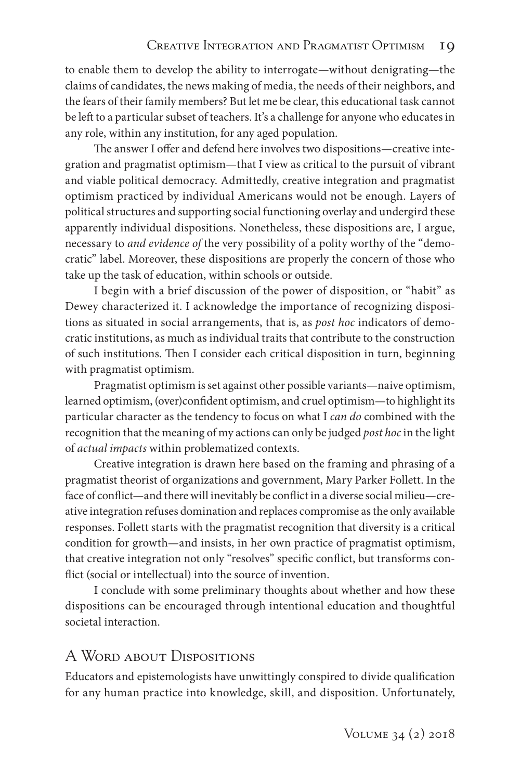to enable them to develop the ability to interrogate—without denigrating—the claims of candidates, the news making of media, the needs of their neighbors, and the fears of their family members? But let me be clear, this educational task cannot be left to a particular subset of teachers. It's a challenge for anyone who educates in any role, within any institution, for any aged population.

The answer I offer and defend here involves two dispositions—creative integration and pragmatist optimism—that I view as critical to the pursuit of vibrant and viable political democracy. Admittedly, creative integration and pragmatist optimism practiced by individual Americans would not be enough. Layers of political structures and supporting social functioning overlay and undergird these apparently individual dispositions. Nonetheless, these dispositions are, I argue, necessary to *and evidence of* the very possibility of a polity worthy of the "democratic" label. Moreover, these dispositions are properly the concern of those who take up the task of education, within schools or outside.

I begin with a brief discussion of the power of disposition, or "habit" as Dewey characterized it. I acknowledge the importance of recognizing dispositions as situated in social arrangements, that is, as *post hoc* indicators of democratic institutions, as much as individual traits that contribute to the construction of such institutions. Then I consider each critical disposition in turn, beginning with pragmatist optimism.

Pragmatist optimism is set against other possible variants—naive optimism, learned optimism, (over)confident optimism, and cruel optimism—to highlight its particular character as the tendency to focus on what I *can do* combined with the recognition that the meaning of my actions can only be judged *post hoc* in the light of *actual impacts* within problematized contexts.

Creative integration is drawn here based on the framing and phrasing of a pragmatist theorist of organizations and government, Mary Parker Follett. In the face of conflict—and there will inevitably be conflict in a diverse social milieu—creative integration refuses domination and replaces compromise as the only available responses. Follett starts with the pragmatist recognition that diversity is a critical condition for growth—and insists, in her own practice of pragmatist optimism, that creative integration not only "resolves" specific conflict, but transforms conflict (social or intellectual) into the source of invention.

I conclude with some preliminary thoughts about whether and how these dispositions can be encouraged through intentional education and thoughtful societal interaction.

# A WORD ABOUT DISPOSITIONS

Educators and epistemologists have unwittingly conspired to divide qualification for any human practice into knowledge, skill, and disposition. Unfortunately,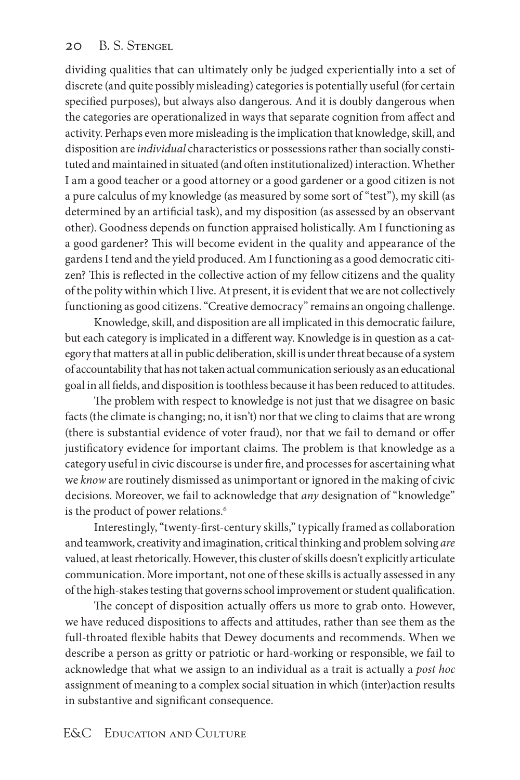dividing qualities that can ultimately only be judged experientially into a set of discrete (and quite possibly misleading) categories is potentially useful (for certain specified purposes), but always also dangerous. And it is doubly dangerous when the categories are operationalized in ways that separate cognition from affect and activity. Perhaps even more misleading is the implication that knowledge, skill, and disposition are *individual* characteristics or possessions rather than socially constituted and maintained in situated (and often institutionalized) interaction. Whether I am a good teacher or a good attorney or a good gardener or a good citizen is not a pure calculus of my knowledge (as measured by some sort of "test"), my skill (as determined by an artificial task), and my disposition (as assessed by an observant other). Goodness depends on function appraised holistically. Am I functioning as a good gardener? This will become evident in the quality and appearance of the gardens I tend and the yield produced. Am I functioning as a good democratic citizen? This is reflected in the collective action of my fellow citizens and the quality of the polity within which I live. At present, it is evident that we are not collectively functioning as good citizens. "Creative democracy" remains an ongoing challenge.

Knowledge, skill, and disposition are all implicated in this democratic failure, but each category is implicated in a different way. Knowledge is in question as a category that matters at all in public deliberation, skill is under threat because of a system of accountability that has not taken actual communication seriously as an educational goal in all fields, and disposition is toothless because it has been reduced to attitudes.

The problem with respect to knowledge is not just that we disagree on basic facts (the climate is changing; no, it isn't) nor that we cling to claims that are wrong (there is substantial evidence of voter fraud), nor that we fail to demand or offer justificatory evidence for important claims. The problem is that knowledge as a category useful in civic discourse is under fire, and processes for ascertaining what we *know* are routinely dismissed as unimportant or ignored in the making of civic decisions. Moreover, we fail to acknowledge that *any* designation of "knowledge" is the product of power relations.<sup>6</sup>

Interestingly, "twenty-first-century skills," typically framed as collaboration and teamwork, creativity and imagination, critical thinking and problem solving *are* valued, at least rhetorically. However, this cluster of skills doesn't explicitly articulate communication. More important, not one of these skills is actually assessed in any of the high-stakes testing that governs school improvement or student qualification.

The concept of disposition actually offers us more to grab onto. However, we have reduced dispositions to affects and attitudes, rather than see them as the full-throated flexible habits that Dewey documents and recommends. When we describe a person as gritty or patriotic or hard-working or responsible, we fail to acknowledge that what we assign to an individual as a trait is actually a *post hoc* assignment of meaning to a complex social situation in which (inter)action results in substantive and significant consequence.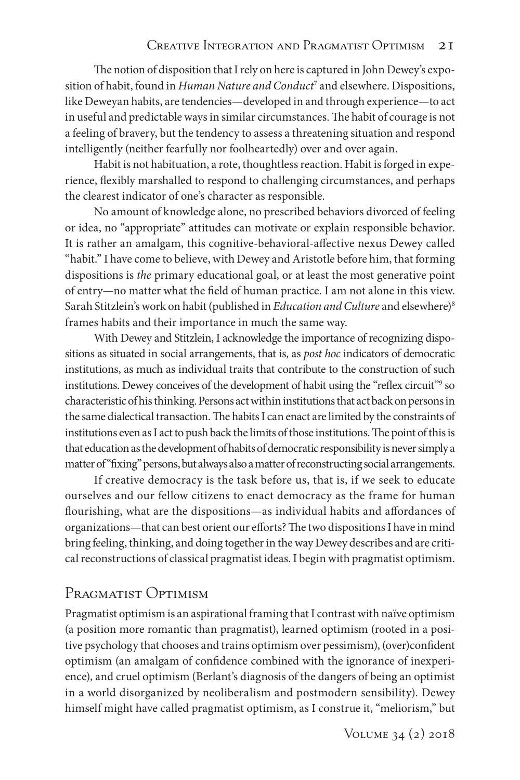The notion of disposition that I rely on here is captured in John Dewey's exposition of habit, found in *Human Nature and Conduct*<sup>7</sup> and elsewhere. Dispositions, like Deweyan habits, are tendencies—developed in and through experience—to act in useful and predictable ways in similar circumstances. The habit of courage is not a feeling of bravery, but the tendency to assess a threatening situation and respond intelligently (neither fearfully nor foolheartedly) over and over again.

Habit is not habituation, a rote, thoughtless reaction. Habit is forged in experience, flexibly marshalled to respond to challenging circumstances, and perhaps the clearest indicator of one's character as responsible.

No amount of knowledge alone, no prescribed behaviors divorced of feeling or idea, no "appropriate" attitudes can motivate or explain responsible behavior. It is rather an amalgam, this cognitive-behavioral-affective nexus Dewey called "habit." I have come to believe, with Dewey and Aristotle before him, that forming dispositions is *the* primary educational goal, or at least the most generative point of entry—no matter what the field of human practice. I am not alone in this view. Sarah Stitzlein's work on habit (published in *Education and Culture* and elsewhere)8 frames habits and their importance in much the same way.

With Dewey and Stitzlein, I acknowledge the importance of recognizing dispositions as situated in social arrangements, that is, as *post hoc* indicators of democratic institutions, as much as individual traits that contribute to the construction of such institutions. Dewey conceives of the development of habit using the "reflex circuit"<sup>9</sup> so characteristic of his thinking. Persons act within institutions that act back on persons in the same dialectical transaction. The habits I can enact are limited by the constraints of institutions even as I act to push back the limits of those institutions. The point of this is that education as the development of habits of democratic responsibility is never simply a matter of "fixing" persons, but always also a matter of reconstructing social arrangements.

If creative democracy is the task before us, that is, if we seek to educate ourselves and our fellow citizens to enact democracy as the frame for human flourishing, what are the dispositions—as individual habits and affordances of organizations—that can best orient our efforts? The two dispositions I have in mind bring feeling, thinking, and doing together in the way Dewey describes and are critical reconstructions of classical pragmatist ideas. I begin with pragmatist optimism.

# Pragmatist Optimism

Pragmatist optimism is an aspirational framing that I contrast with naïve optimism (a position more romantic than pragmatist), learned optimism (rooted in a positive psychology that chooses and trains optimism over pessimism), (over)confident optimism (an amalgam of confidence combined with the ignorance of inexperience), and cruel optimism (Berlant's diagnosis of the dangers of being an optimist in a world disorganized by neoliberalism and postmodern sensibility). Dewey himself might have called pragmatist optimism, as I construe it, "meliorism," but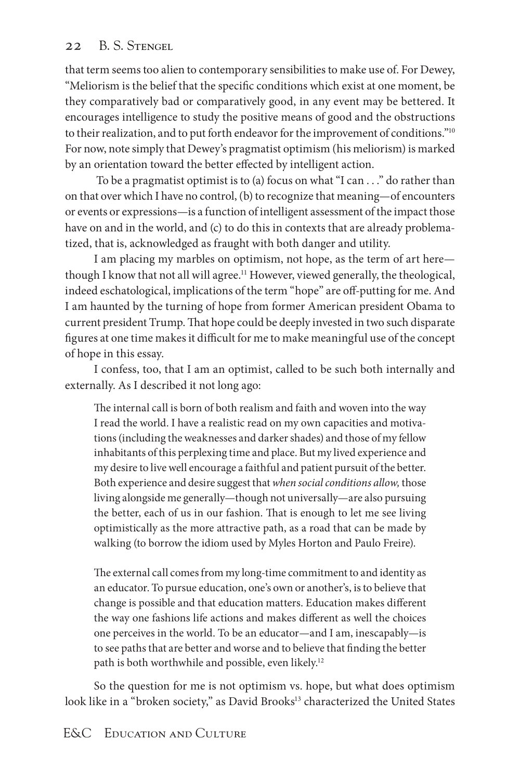that term seems too alien to contemporary sensibilities to make use of. For Dewey, "Meliorism is the belief that the specific conditions which exist at one moment, be they comparatively bad or comparatively good, in any event may be bettered. It encourages intelligence to study the positive means of good and the obstructions to their realization, and to put forth endeavor for the improvement of conditions."<sup>10</sup> For now, note simply that Dewey's pragmatist optimism (his meliorism) is marked by an orientation toward the better effected by intelligent action.

To be a pragmatist optimist is to (a) focus on what "I can  $\dots$ " do rather than on that over which I have no control, (b) to recognize that meaning—of encounters or events or expressions—is a function of intelligent assessment of the impact those have on and in the world, and (c) to do this in contexts that are already problematized, that is, acknowledged as fraught with both danger and utility.

I am placing my marbles on optimism, not hope, as the term of art here though I know that not all will agree.<sup>11</sup> However, viewed generally, the theological, indeed eschatological, implications of the term "hope" are off-putting for me. And I am haunted by the turning of hope from former American president Obama to current president Trump. That hope could be deeply invested in two such disparate figures at one time makes it difficult for me to make meaningful use of the concept of hope in this essay.

I confess, too, that I am an optimist, called to be such both internally and externally. As I described it not long ago:

The internal call is born of both realism and faith and woven into the way I read the world. I have a realistic read on my own capacities and motivations (including the weaknesses and darker shades) and those of my fellow inhabitants of this perplexing time and place. But my lived experience and my desire to live well encourage a faithful and patient pursuit of the better. Both experience and desire suggest that *when social conditions allow,* those living alongside me generally—though not universally—are also pursuing the better, each of us in our fashion. That is enough to let me see living optimistically as the more attractive path, as a road that can be made by walking (to borrow the idiom used by Myles Horton and Paulo Freire).

The external call comes from my long-time commitment to and identity as an educator. To pursue education, one's own or another's, is to believe that change is possible and that education matters. Education makes different the way one fashions life actions and makes different as well the choices one perceives in the world. To be an educator—and I am, inescapably—is to see paths that are better and worse and to believe that finding the better path is both worthwhile and possible, even likely.<sup>12</sup>

So the question for me is not optimism vs. hope, but what does optimism look like in a "broken society," as David Brooks<sup>13</sup> characterized the United States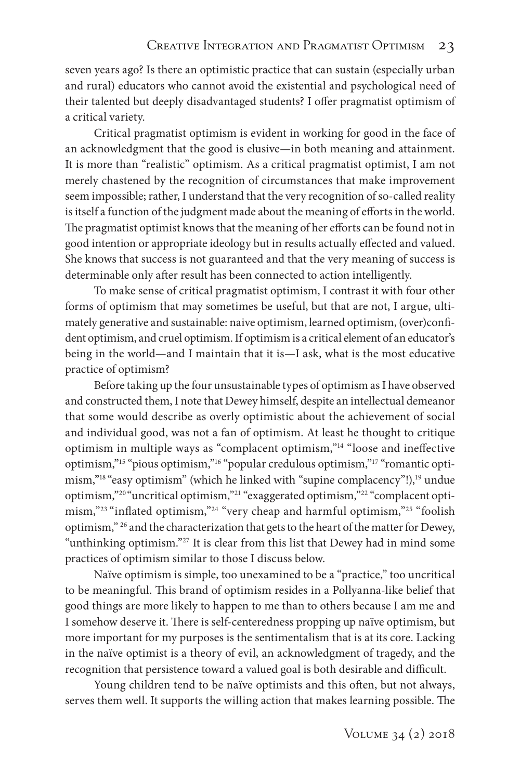seven years ago? Is there an optimistic practice that can sustain (especially urban and rural) educators who cannot avoid the existential and psychological need of their talented but deeply disadvantaged students? I offer pragmatist optimism of a critical variety.

Critical pragmatist optimism is evident in working for good in the face of an acknowledgment that the good is elusive—in both meaning and attainment. It is more than "realistic" optimism. As a critical pragmatist optimist, I am not merely chastened by the recognition of circumstances that make improvement seem impossible; rather, I understand that the very recognition of so-called reality is itself a function of the judgment made about the meaning of efforts in the world. The pragmatist optimist knows that the meaning of her efforts can be found not in good intention or appropriate ideology but in results actually effected and valued. She knows that success is not guaranteed and that the very meaning of success is determinable only after result has been connected to action intelligently.

To make sense of critical pragmatist optimism, I contrast it with four other forms of optimism that may sometimes be useful, but that are not, I argue, ultimately generative and sustainable: naive optimism, learned optimism, (over)confident optimism, and cruel optimism. If optimism is a critical element of an educator's being in the world—and I maintain that it is—I ask, what is the most educative practice of optimism?

Before taking up the four unsustainable types of optimism as I have observed and constructed them, I note that Dewey himself, despite an intellectual demeanor that some would describe as overly optimistic about the achievement of social and individual good, was not a fan of optimism. At least he thought to critique optimism in multiple ways as "complacent optimism,"14 "loose and ineffective optimism,"15 "pious optimism,"16 "popular credulous optimism,"17 "romantic optimism,"<sup>18</sup> "easy optimism" (which he linked with "supine complacency"!),<sup>19</sup> undue optimism,"20 "uncritical optimism,"21 "exaggerated optimism,"22 "complacent optimism,"23 "inflated optimism,"24 "very cheap and harmful optimism,"25 "foolish optimism," 26 and the characterization that gets to the heart of the matter for Dewey, "unthinking optimism."27 It is clear from this list that Dewey had in mind some practices of optimism similar to those I discuss below.

Naïve optimism is simple, too unexamined to be a "practice," too uncritical to be meaningful. This brand of optimism resides in a Pollyanna-like belief that good things are more likely to happen to me than to others because I am me and I somehow deserve it. There is self-centeredness propping up naïve optimism, but more important for my purposes is the sentimentalism that is at its core. Lacking in the naïve optimist is a theory of evil, an acknowledgment of tragedy, and the recognition that persistence toward a valued goal is both desirable and difficult.

Young children tend to be naïve optimists and this often, but not always, serves them well. It supports the willing action that makes learning possible. The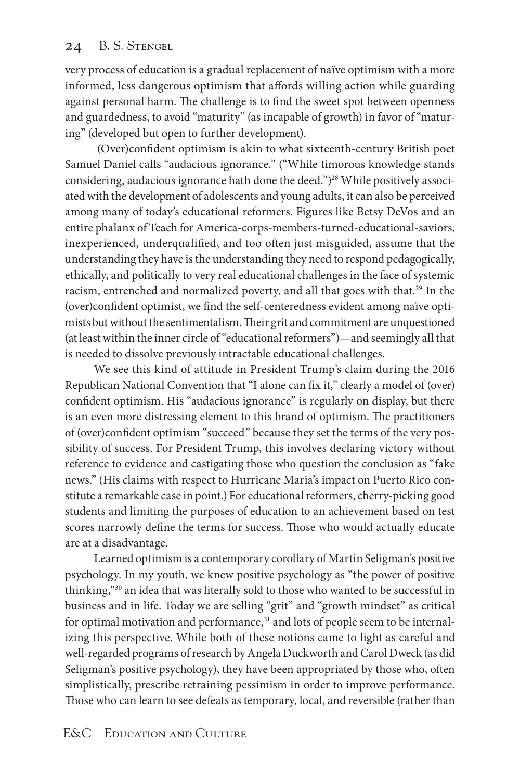very process of education is a gradual replacement of naïve optimism with a more informed, less dangerous optimism that affords willing action while guarding against personal harm. The challenge is to find the sweet spot between openness and guardedness, to avoid "maturity" (as incapable of growth) in favor of "maturing" (developed but open to further development).

 (Over)confident optimism is akin to what sixteenth-century British poet Samuel Daniel calls "audacious ignorance." ("While timorous knowledge stands considering, audacious ignorance hath done the deed.")<sup>28</sup> While positively associated with the development of adolescents and young adults, it can also be perceived among many of today's educational reformers. Figures like Betsy DeVos and an entire phalanx of Teach for America-corps-members-turned-educational-saviors, inexperienced, underqualified, and too often just misguided, assume that the understanding they have is the understanding they need to respond pedagogically, ethically, and politically to very real educational challenges in the face of systemic racism, entrenched and normalized poverty, and all that goes with that.29 In the (over)confident optimist, we find the self-centeredness evident among naïve optimists but without the sentimentalism. Their grit and commitment are unquestioned (at least within the inner circle of "educational reformers")—and seemingly all that is needed to dissolve previously intractable educational challenges.

We see this kind of attitude in President Trump's claim during the 2016 Republican National Convention that "I alone can fix it," clearly a model of (over) confident optimism. His "audacious ignorance" is regularly on display, but there is an even more distressing element to this brand of optimism. The practitioners of (over)confident optimism "succeed" because they set the terms of the very possibility of success. For President Trump, this involves declaring victory without reference to evidence and castigating those who question the conclusion as "fake news." (His claims with respect to Hurricane Maria's impact on Puerto Rico constitute a remarkable case in point.) For educational reformers, cherry-picking good students and limiting the purposes of education to an achievement based on test scores narrowly define the terms for success. Those who would actually educate are at a disadvantage.

Learned optimism is a contemporary corollary of Martin Seligman's positive psychology. In my youth, we knew positive psychology as "the power of positive thinking,"30 an idea that was literally sold to those who wanted to be successful in business and in life. Today we are selling "grit" and "growth mindset" as critical for optimal motivation and performance,<sup>31</sup> and lots of people seem to be internalizing this perspective. While both of these notions came to light as careful and well-regarded programs of research by Angela Duckworth and Carol Dweck (as did Seligman's positive psychology), they have been appropriated by those who, often simplistically, prescribe retraining pessimism in order to improve performance. Those who can learn to see defeats as temporary, local, and reversible (rather than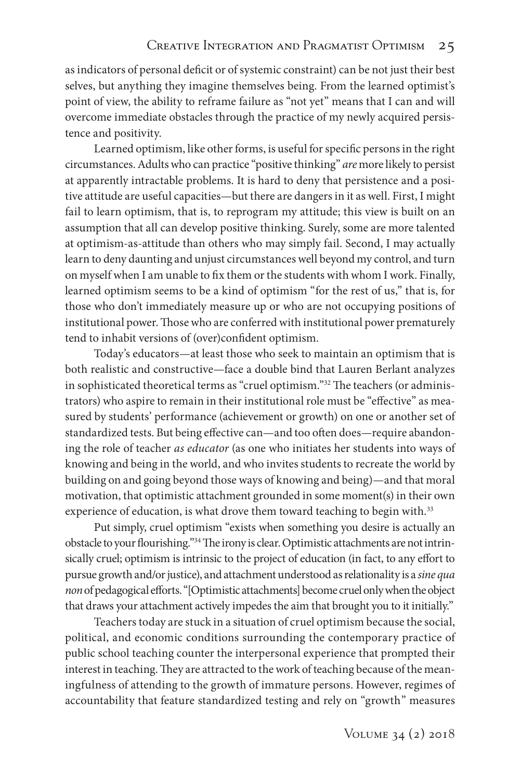as indicators of personal deficit or of systemic constraint) can be not just their best selves, but anything they imagine themselves being. From the learned optimist's point of view, the ability to reframe failure as "not yet" means that I can and will overcome immediate obstacles through the practice of my newly acquired persistence and positivity.

Learned optimism, like other forms, is useful for specific persons in the right circumstances. Adults who can practice "positive thinking" *are* more likely to persist at apparently intractable problems. It is hard to deny that persistence and a positive attitude are useful capacities—but there are dangers in it as well. First, I might fail to learn optimism, that is, to reprogram my attitude; this view is built on an assumption that all can develop positive thinking. Surely, some are more talented at optimism-as-attitude than others who may simply fail. Second, I may actually learn to deny daunting and unjust circumstances well beyond my control, and turn on myself when I am unable to fix them or the students with whom I work. Finally, learned optimism seems to be a kind of optimism "for the rest of us," that is, for those who don't immediately measure up or who are not occupying positions of institutional power. Those who are conferred with institutional power prematurely tend to inhabit versions of (over)confident optimism.

Today's educators—at least those who seek to maintain an optimism that is both realistic and constructive—face a double bind that Lauren Berlant analyzes in sophisticated theoretical terms as "cruel optimism."32 The teachers (or administrators) who aspire to remain in their institutional role must be "effective" as measured by students' performance (achievement or growth) on one or another set of standardized tests. But being effective can—and too often does—require abandoning the role of teacher *as educator* (as one who initiates her students into ways of knowing and being in the world, and who invites students to recreate the world by building on and going beyond those ways of knowing and being)—and that moral motivation, that optimistic attachment grounded in some moment(s) in their own experience of education, is what drove them toward teaching to begin with.<sup>33</sup>

Put simply, cruel optimism "exists when something you desire is actually an obstacle to your flourishing."34 The irony is clear. Optimistic attachments are not intrinsically cruel; optimism is intrinsic to the project of education (in fact, to any effort to pursue growth and/or justice), and attachment understood as relationality is a *sine qua non* of pedagogical efforts. "[Optimistic attachments] become cruel only when the object that draws your attachment actively impedes the aim that brought you to it initially."

Teachers today are stuck in a situation of cruel optimism because the social, political, and economic conditions surrounding the contemporary practice of public school teaching counter the interpersonal experience that prompted their interest in teaching. They are attracted to the work of teaching because of the meaningfulness of attending to the growth of immature persons. However, regimes of accountability that feature standardized testing and rely on "growth" measures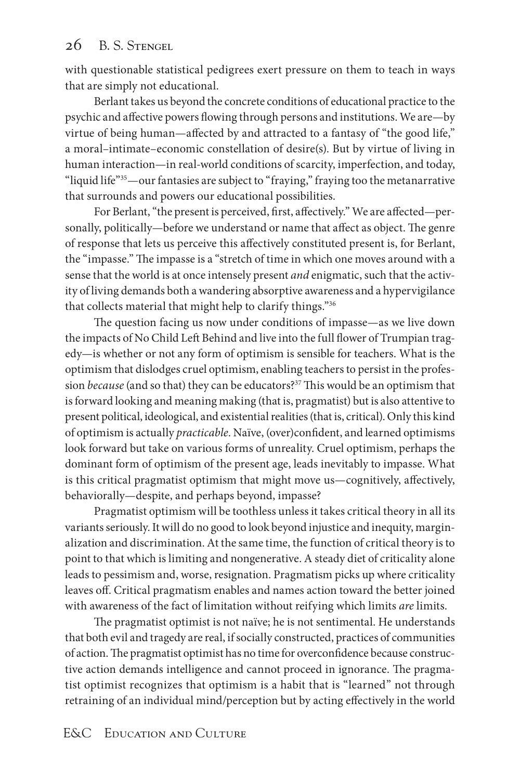with questionable statistical pedigrees exert pressure on them to teach in ways that are simply not educational.

Berlant takes us beyond the concrete conditions of educational practice to the psychic and affective powers flowing through persons and institutions. We are—by virtue of being human—affected by and attracted to a fantasy of "the good life," a moral–intimate–economic constellation of desire(s). But by virtue of living in human interaction—in real-world conditions of scarcity, imperfection, and today, "liquid life"<sup>35</sup>—our fantasies are subject to "fraying," fraying too the metanarrative that surrounds and powers our educational possibilities.

For Berlant, "the present is perceived, first, affectively." We are affected—personally, politically—before we understand or name that affect as object. The genre of response that lets us perceive this affectively constituted present is, for Berlant, the "impasse." The impasse is a "stretch of time in which one moves around with a sense that the world is at once intensely present *and* enigmatic, such that the activity of living demands both a wandering absorptive awareness and a hypervigilance that collects material that might help to clarify things."36

The question facing us now under conditions of impasse—as we live down the impacts of No Child Left Behind and live into the full flower of Trumpian tragedy—is whether or not any form of optimism is sensible for teachers. What is the optimism that dislodges cruel optimism, enabling teachers to persist in the profession *because* (and so that) they can be educators?37 This would be an optimism that is forward looking and meaning making (that is, pragmatist) but is also attentive to present political, ideological, and existential realities (that is, critical). Only this kind of optimism is actually *practicable*. Naïve, (over)confident, and learned optimisms look forward but take on various forms of unreality. Cruel optimism, perhaps the dominant form of optimism of the present age, leads inevitably to impasse. What is this critical pragmatist optimism that might move us—cognitively, affectively, behaviorally—despite, and perhaps beyond, impasse?

Pragmatist optimism will be toothless unless it takes critical theory in all its variants seriously. It will do no good to look beyond injustice and inequity, marginalization and discrimination. At the same time, the function of critical theory is to point to that which is limiting and nongenerative. A steady diet of criticality alone leads to pessimism and, worse, resignation. Pragmatism picks up where criticality leaves off. Critical pragmatism enables and names action toward the better joined with awareness of the fact of limitation without reifying which limits *are* limits.

The pragmatist optimist is not naïve; he is not sentimental. He understands that both evil and tragedy are real, if socially constructed, practices of communities of action. The pragmatist optimist has no time for overconfidence because constructive action demands intelligence and cannot proceed in ignorance. The pragmatist optimist recognizes that optimism is a habit that is "learned" not through retraining of an individual mind/perception but by acting effectively in the world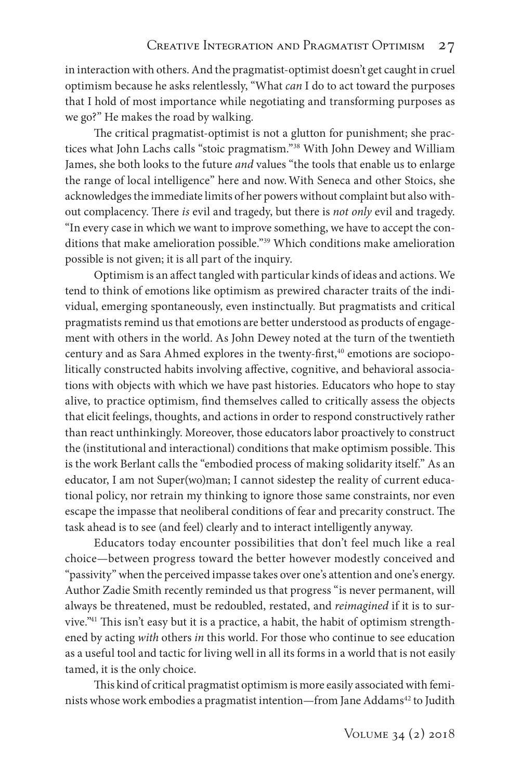in interaction with others. And the pragmatist-optimist doesn't get caught in cruel optimism because he asks relentlessly, "What *can* I do to act toward the purposes that I hold of most importance while negotiating and transforming purposes as we go?" He makes the road by walking.

The critical pragmatist-optimist is not a glutton for punishment; she practices what John Lachs calls "stoic pragmatism."38 With John Dewey and William James, she both looks to the future *and* values "the tools that enable us to enlarge the range of local intelligence" here and now.With Seneca and other Stoics, she acknowledges the immediate limits of her powers without complaint but also without complacency. There *is* evil and tragedy, but there is *not only* evil and tragedy. "In every case in which we want to improve something, we have to accept the conditions that make amelioration possible."39 Which conditions make amelioration possible is not given; it is all part of the inquiry.

Optimism is an affect tangled with particular kinds of ideas and actions. We tend to think of emotions like optimism as prewired character traits of the individual, emerging spontaneously, even instinctually. But pragmatists and critical pragmatists remind us that emotions are better understood as products of engagement with others in the world. As John Dewey noted at the turn of the twentieth century and as Sara Ahmed explores in the twenty-first,<sup>40</sup> emotions are sociopolitically constructed habits involving affective, cognitive, and behavioral associations with objects with which we have past histories. Educators who hope to stay alive, to practice optimism, find themselves called to critically assess the objects that elicit feelings, thoughts, and actions in order to respond constructively rather than react unthinkingly. Moreover, those educators labor proactively to construct the (institutional and interactional) conditions that make optimism possible. This is the work Berlant calls the "embodied process of making solidarity itself." As an educator, I am not Super(wo)man; I cannot sidestep the reality of current educational policy, nor retrain my thinking to ignore those same constraints, nor even escape the impasse that neoliberal conditions of fear and precarity construct. The task ahead is to see (and feel) clearly and to interact intelligently anyway.

Educators today encounter possibilities that don't feel much like a real choice—between progress toward the better however modestly conceived and "passivity" when the perceived impasse takes over one's attention and one's energy. Author Zadie Smith recently reminded us that progress "is never permanent, will always be threatened, must be redoubled, restated, and *reimagined* if it is to survive."41 This isn't easy but it is a practice, a habit, the habit of optimism strengthened by acting *with* others *in* this world. For those who continue to see education as a useful tool and tactic for living well in all its forms in a world that is not easily tamed, it is the only choice.

This kind of critical pragmatist optimism is more easily associated with feminists whose work embodies a pragmatist intention—from Jane Addams<sup>42</sup> to Judith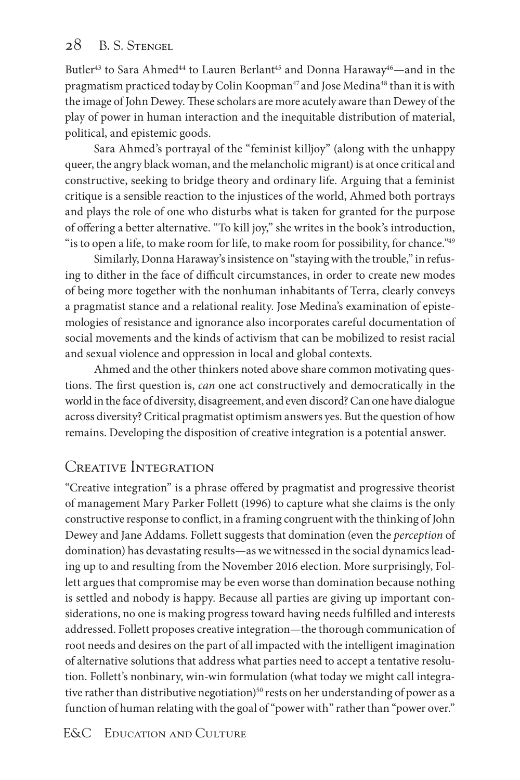Butler<sup>43</sup> to Sara Ahmed<sup>44</sup> to Lauren Berlant<sup>45</sup> and Donna Haraway<sup>46</sup>—and in the pragmatism practiced today by Colin Koopman<sup>47</sup> and Jose Medina<sup>48</sup> than it is with the image of John Dewey. These scholars are more acutely aware than Dewey of the play of power in human interaction and the inequitable distribution of material, political, and epistemic goods.

Sara Ahmed's portrayal of the "feminist killjoy" (along with the unhappy queer, the angry black woman, and the melancholic migrant) is at once critical and constructive, seeking to bridge theory and ordinary life. Arguing that a feminist critique is a sensible reaction to the injustices of the world, Ahmed both portrays and plays the role of one who disturbs what is taken for granted for the purpose of offering a better alternative. "To kill joy," she writes in the book's introduction, " is to open a life, to make room for life, to make room for possibility, for chance."<sup>49</sup>

Similarly, Donna Haraway's insistence on "staying with the trouble," in refusing to dither in the face of difficult circumstances, in order to create new modes of being more together with the nonhuman inhabitants of Terra, clearly conveys a pragmatist stance and a relational reality. Jose Medina's examination of epistemologies of resistance and ignorance also incorporates careful documentation of social movements and the kinds of activism that can be mobilized to resist racial and sexual violence and oppression in local and global contexts.

Ahmed and the other thinkers noted above share common motivating questions. The first question is, *can* one act constructively and democratically in the world in the face of diversity, disagreement, and even discord? Can one have dialogue across diversity? Critical pragmatist optimism answers yes. But the question of how remains. Developing the disposition of creative integration is a potential answer.

# CREATIVE INTEGRATION

"Creative integration" is a phrase offered by pragmatist and progressive theorist of management Mary Parker Follett (1996) to capture what she claims is the only constructive response to conflict, in a framing congruent with the thinking of John Dewey and Jane Addams. Follett suggests that domination (even the *perception* of domination) has devastating results—as we witnessed in the social dynamics leading up to and resulting from the November 2016 election. More surprisingly, Follett argues that compromise may be even worse than domination because nothing is settled and nobody is happy. Because all parties are giving up important considerations, no one is making progress toward having needs fulfilled and interests addressed. Follett proposes creative integration—the thorough communication of root needs and desires on the part of all impacted with the intelligent imagination of alternative solutions that address what parties need to accept a tentative resolution. Follett's nonbinary, win-win formulation (what today we might call integrative rather than distributive negotiation)<sup>50</sup> rests on her understanding of power as a function of human relating with the goal of "power with" rather than "power over."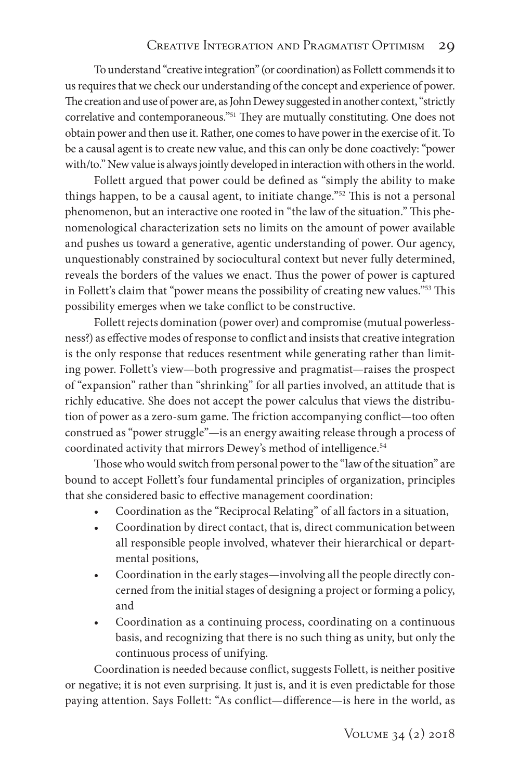To understand "creative integration" (or coordination) as Follett commends it to us requires that we check our understanding of the concept and experience of power. The creation and use of power are, as John Dewey suggested in another context, "strictly correlative and contemporaneous."51 They are mutually constituting. One does not obtain power and then use it. Rather, one comes to have power in the exercise of it. To be a causal agent is to create new value, and this can only be done coactively: "power with/to." New value is always jointly developed in interaction with others in the world.

Follett argued that power could be defined as "simply the ability to make things happen, to be a causal agent, to initiate change."52 This is not a personal phenomenon, but an interactive one rooted in "the law of the situation." This phenomenological characterization sets no limits on the amount of power available and pushes us toward a generative, agentic understanding of power. Our agency, unquestionably constrained by sociocultural context but never fully determined, reveals the borders of the values we enact. Thus the power of power is captured in Follett's claim that "power means the possibility of creating new values."53 This possibility emerges when we take conflict to be constructive.

Follett rejects domination (power over) and compromise (mutual powerlessness?) as effective modes of response to conflict and insists that creative integration is the only response that reduces resentment while generating rather than limiting power. Follett's view—both progressive and pragmatist—raises the prospect of "expansion" rather than "shrinking" for all parties involved, an attitude that is richly educative. She does not accept the power calculus that views the distribution of power as a zero-sum game. The friction accompanying conflict—too often construed as "power struggle"—is an energy awaiting release through a process of coordinated activity that mirrors Dewey's method of intelligence.<sup>54</sup>

Those who would switch from personal power to the "law of the situation" are bound to accept Follett's four fundamental principles of organization, principles that she considered basic to effective management coordination:

- Coordination as the "Reciprocal Relating" of all factors in a situation,
- Coordination by direct contact, that is, direct communication between all responsible people involved, whatever their hierarchical or departmental positions,
- Coordination in the early stages—involving all the people directly concerned from the initial stages of designing a project or forming a policy, and
- Coordination as a continuing process, coordinating on a continuous basis, and recognizing that there is no such thing as unity, but only the continuous process of unifying.

Coordination is needed because conflict, suggests Follett, is neither positive or negative; it is not even surprising. It just is, and it is even predictable for those paying attention. Says Follett: "As conflict—difference—is here in the world, as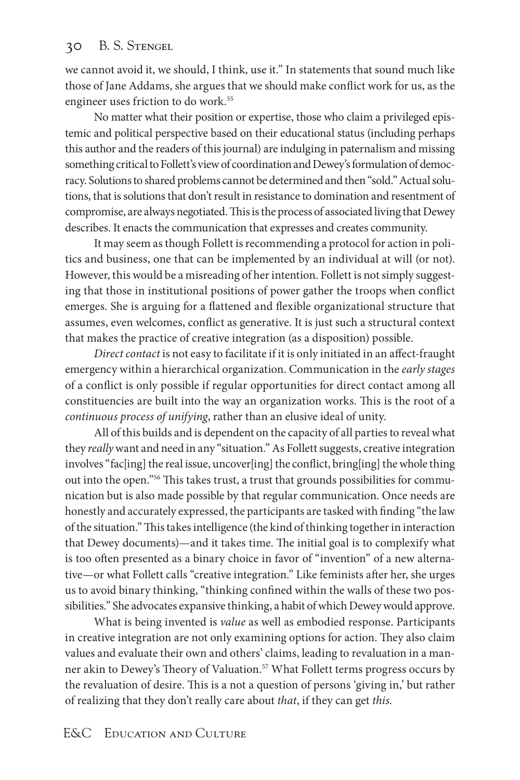we cannot avoid it, we should, I think, use it." In statements that sound much like those of Jane Addams, she argues that we should make conflict work for us, as the engineer uses friction to do work.<sup>55</sup>

No matter what their position or expertise, those who claim a privileged epistemic and political perspective based on their educational status (including perhaps this author and the readers of this journal) are indulging in paternalism and missing something critical to Follett's view of coordination and Dewey's formulation of democracy. Solutions to shared problems cannot be determined and then "sold." Actual solutions, that is solutions that don't result in resistance to domination and resentment of compromise, are always negotiated. This is the process of associated living that Dewey describes. It enacts the communication that expresses and creates community.

It may seem as though Follett is recommending a protocol for action in politics and business, one that can be implemented by an individual at will (or not). However, this would be a misreading of her intention. Follett is not simply suggesting that those in institutional positions of power gather the troops when conflict emerges. She is arguing for a flattened and flexible organizational structure that assumes, even welcomes, conflict as generative. It is just such a structural context that makes the practice of creative integration (as a disposition) possible.

*Direct contact* is not easy to facilitate if it is only initiated in an affect-fraught emergency within a hierarchical organization. Communication in the *early stages* of a conflict is only possible if regular opportunities for direct contact among all constituencies are built into the way an organization works. This is the root of a *continuous process of unifying*, rather than an elusive ideal of unity.

All of this builds and is dependent on the capacity of all parties to reveal what they *really* want and need in any "situation." As Follett suggests, creative integration involves "fac[ing] the real issue, uncover[ing] the conflict, bring[ing] the whole thing out into the open."56 This takes trust, a trust that grounds possibilities for communication but is also made possible by that regular communication. Once needs are honestly and accurately expressed, the participants are tasked with finding "the law of the situation." This takes intelligence (the kind of thinking together in interaction that Dewey documents)—and it takes time. The initial goal is to complexify what is too often presented as a binary choice in favor of "invention" of a new alternative—or what Follett calls "creative integration." Like feminists after her, she urges us to avoid binary thinking, "thinking confined within the walls of these two possibilities." She advocates expansive thinking, a habit of which Dewey would approve.

What is being invented is *value* as well as embodied response. Participants in creative integration are not only examining options for action. They also claim values and evaluate their own and others' claims, leading to revaluation in a manner akin to Dewey's Theory of Valuation.<sup>57</sup> What Follett terms progress occurs by the revaluation of desire. This is a not a question of persons 'giving in,' but rather of realizing that they don't really care about *that*, if they can get *this.*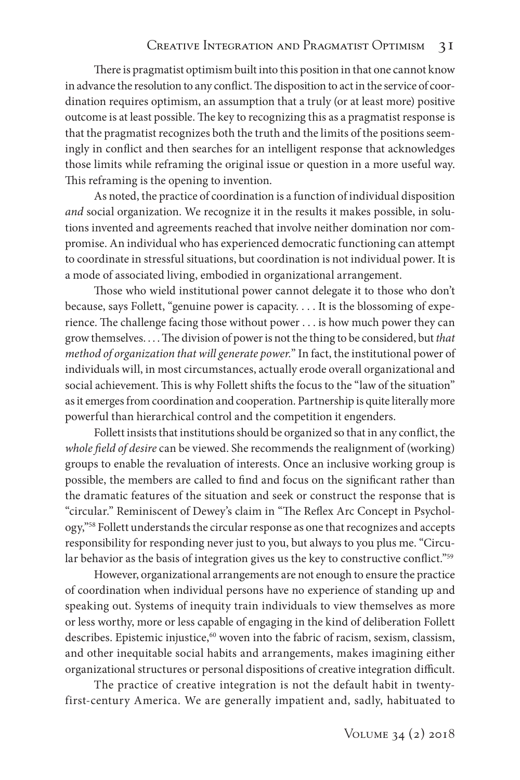### CREATIVE INTEGRATION AND PRAGMATIST OPTIMISM 3I

There is pragmatist optimism built into this position in that one cannot know in advance the resolution to any conflict. The disposition to act in the service of coordination requires optimism, an assumption that a truly (or at least more) positive outcome is at least possible. The key to recognizing this as a pragmatist response is that the pragmatist recognizes both the truth and the limits of the positions seemingly in conflict and then searches for an intelligent response that acknowledges those limits while reframing the original issue or question in a more useful way. This reframing is the opening to invention.

As noted, the practice of coordination is a function of individual disposition *and* social organization. We recognize it in the results it makes possible, in solutions invented and agreements reached that involve neither domination nor compromise. An individual who has experienced democratic functioning can attempt to coordinate in stressful situations, but coordination is not individual power. It is a mode of associated living, embodied in organizational arrangement.

Those who wield institutional power cannot delegate it to those who don't because, says Follett, "genuine power is capacity. . . . It is the blossoming of experience. The challenge facing those without power . . . is how much power they can grow themselves. . . . The division of power is not the thing to be considered, but *that method of organization that will generate power.*" In fact, the institutional power of individuals will, in most circumstances, actually erode overall organizational and social achievement. This is why Follett shifts the focus to the "law of the situation" as it emerges from coordination and cooperation. Partnership is quite literally more powerful than hierarchical control and the competition it engenders.

Follett insists that institutions should be organized so that in any conflict, the *whole field of desire* can be viewed. She recommends the realignment of (working) groups to enable the revaluation of interests. Once an inclusive working group is possible, the members are called to find and focus on the significant rather than the dramatic features of the situation and seek or construct the response that is "circular." Reminiscent of Dewey's claim in "The Reflex Arc Concept in Psychology,"58 Follett understands the circular response as one that recognizes and accepts responsibility for responding never just to you, but always to you plus me. "Circular behavior as the basis of integration gives us the key to constructive conflict."<sup>59</sup>

However, organizational arrangements are not enough to ensure the practice of coordination when individual persons have no experience of standing up and speaking out. Systems of inequity train individuals to view themselves as more or less worthy, more or less capable of engaging in the kind of deliberation Follett describes. Epistemic injustice,<sup>60</sup> woven into the fabric of racism, sexism, classism, and other inequitable social habits and arrangements, makes imagining either organizational structures or personal dispositions of creative integration difficult.

The practice of creative integration is not the default habit in twentyfirst-century America. We are generally impatient and, sadly, habituated to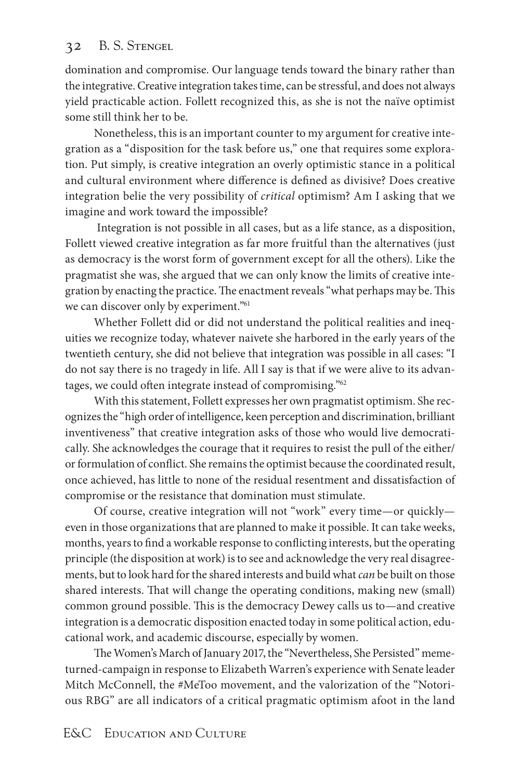domination and compromise. Our language tends toward the binary rather than the integrative. Creative integration takes time, can be stressful, and does not always yield practicable action. Follett recognized this, as she is not the naïve optimist some still think her to be.

Nonetheless, this is an important counter to my argument for creative integration as a "disposition for the task before us," one that requires some exploration. Put simply, is creative integration an overly optimistic stance in a political and cultural environment where difference is defined as divisive? Does creative integration belie the very possibility of *critical* optimism? Am I asking that we imagine and work toward the impossible?

 Integration is not possible in all cases, but as a life stance, as a disposition, Follett viewed creative integration as far more fruitful than the alternatives (just as democracy is the worst form of government except for all the others). Like the pragmatist she was, she argued that we can only know the limits of creative integration by enacting the practice. The enactment reveals "what perhaps may be. This we can discover only by experiment."61

Whether Follett did or did not understand the political realities and inequities we recognize today, whatever naivete she harbored in the early years of the twentieth century, she did not believe that integration was possible in all cases: "I do not say there is no tragedy in life. All I say is that if we were alive to its advantages, we could often integrate instead of compromising."62

With this statement, Follett expresses her own pragmatist optimism. She recognizes the "high order of intelligence, keen perception and discrimination, brilliant inventiveness" that creative integration asks of those who would live democratically. She acknowledges the courage that it requires to resist the pull of the either/ or formulation of conflict. She remains the optimist because the coordinated result, once achieved, has little to none of the residual resentment and dissatisfaction of compromise or the resistance that domination must stimulate.

Of course, creative integration will not "work" every time—or quickly even in those organizations that are planned to make it possible. It can take weeks, months, years to find a workable response to conflicting interests, but the operating principle (the disposition at work) is to see and acknowledge the very real disagreements, but to look hard for the shared interests and build what *can* be built on those shared interests. That will change the operating conditions, making new (small) common ground possible. This is the democracy Dewey calls us to—and creative integration is a democratic disposition enacted today in some political action, educational work, and academic discourse, especially by women.

The Women's March of January 2017, the "Nevertheless, She Persisted" memeturned-campaign in response to Elizabeth Warren's experience with Senate leader Mitch McConnell, the #MeToo movement, and the valorization of the "Notorious RBG" are all indicators of a critical pragmatic optimism afoot in the land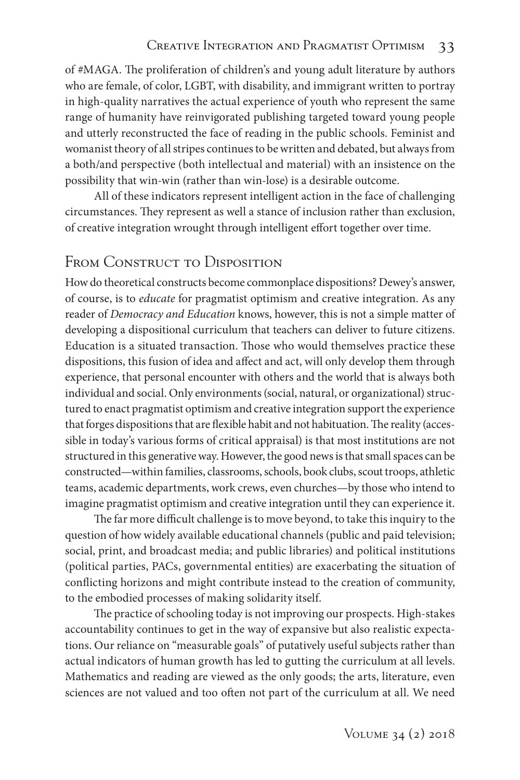of #MAGA. The proliferation of children's and young adult literature by authors who are female, of color, LGBT, with disability, and immigrant written to portray in high-quality narratives the actual experience of youth who represent the same range of humanity have reinvigorated publishing targeted toward young people and utterly reconstructed the face of reading in the public schools. Feminist and womanist theory of all stripes continues to be written and debated, but always from a both/and perspective (both intellectual and material) with an insistence on the possibility that win-win (rather than win-lose) is a desirable outcome.

All of these indicators represent intelligent action in the face of challenging circumstances. They represent as well a stance of inclusion rather than exclusion, of creative integration wrought through intelligent effort together over time.

# FROM CONSTRUCT TO DISPOSITION

How do theoretical constructs become commonplace dispositions? Dewey's answer, of course, is to *educate* for pragmatist optimism and creative integration. As any reader of *Democracy and Education* knows, however, this is not a simple matter of developing a dispositional curriculum that teachers can deliver to future citizens. Education is a situated transaction. Those who would themselves practice these dispositions, this fusion of idea and affect and act, will only develop them through experience, that personal encounter with others and the world that is always both individual and social. Only environments (social, natural, or organizational) structured to enact pragmatist optimism and creative integration support the experience that forges dispositions that are flexible habit and not habituation. The reality (accessible in today's various forms of critical appraisal) is that most institutions are not structured in this generative way. However, the good news is that small spaces can be constructed—within families, classrooms, schools, book clubs, scout troops, athletic teams, academic departments, work crews, even churches—by those who intend to imagine pragmatist optimism and creative integration until they can experience it.

The far more difficult challenge is to move beyond, to take this inquiry to the question of how widely available educational channels (public and paid television; social, print, and broadcast media; and public libraries) and political institutions (political parties, PACs, governmental entities) are exacerbating the situation of conflicting horizons and might contribute instead to the creation of community, to the embodied processes of making solidarity itself.

The practice of schooling today is not improving our prospects. High-stakes accountability continues to get in the way of expansive but also realistic expectations. Our reliance on "measurable goals" of putatively useful subjects rather than actual indicators of human growth has led to gutting the curriculum at all levels. Mathematics and reading are viewed as the only goods; the arts, literature, even sciences are not valued and too often not part of the curriculum at all. We need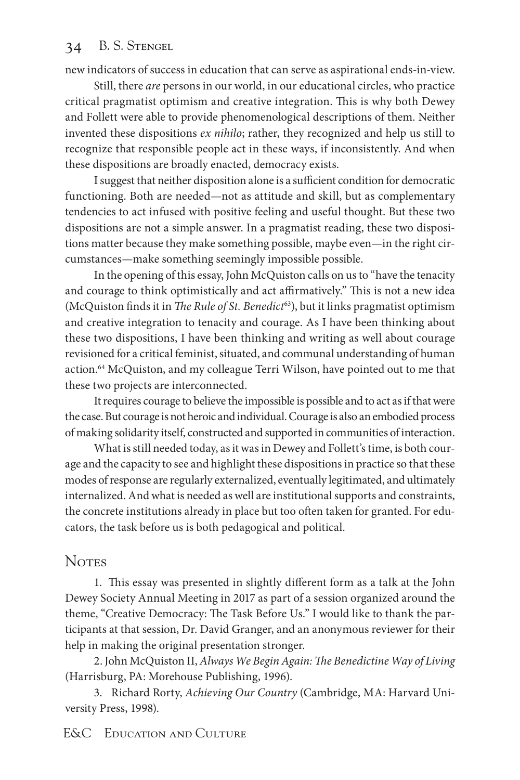new indicators of success in education that can serve as aspirational ends-in-view.

Still, there *are* persons in our world, in our educational circles, who practice critical pragmatist optimism and creative integration. This is why both Dewey and Follett were able to provide phenomenological descriptions of them. Neither invented these dispositions *ex nihilo*; rather, they recognized and help us still to recognize that responsible people act in these ways, if inconsistently. And when these dispositions are broadly enacted, democracy exists.

I suggest that neither disposition alone is a sufficient condition for democratic functioning. Both are needed—not as attitude and skill, but as complementary tendencies to act infused with positive feeling and useful thought. But these two dispositions are not a simple answer. In a pragmatist reading, these two dispositions matter because they make something possible, maybe even—in the right circumstances—make something seemingly impossible possible.

In the opening of this essay, John McQuiston calls on us to "have the tenacity and courage to think optimistically and act affirmatively." This is not a new idea (McQuiston finds it in *The Rule of St. Benedict*63), but it links pragmatist optimism and creative integration to tenacity and courage. As I have been thinking about these two dispositions, I have been thinking and writing as well about courage revisioned for a critical feminist, situated, and communal understanding of human action.<sup>64</sup> McQuiston, and my colleague Terri Wilson, have pointed out to me that these two projects are interconnected.

It requires courage to believe the impossible is possible and to act as if that were the case. But courage is not heroic and individual. Courage is also an embodied process of making solidarity itself, constructed and supported in communities of interaction.

What is still needed today, as it was in Dewey and Follett's time, is both courage and the capacity to see and highlight these dispositions in practice so that these modes of response are regularly externalized, eventually legitimated, and ultimately internalized. And what is needed as well are institutional supports and constraints, the concrete institutions already in place but too often taken for granted. For educators, the task before us is both pedagogical and political.

### **Notes**

1. This essay was presented in slightly different form as a talk at the John Dewey Society Annual Meeting in 2017 as part of a session organized around the theme, "Creative Democracy: The Task Before Us." I would like to thank the participants at that session, Dr. David Granger, and an anonymous reviewer for their help in making the original presentation stronger.

2. John McQuiston II, *Always We Begin Again: The Benedictine Way of Living* (Harrisburg, PA: Morehouse Publishing, 1996).

3. Richard Rorty, *Achieving Our Country* (Cambridge, MA: Harvard University Press, 1998).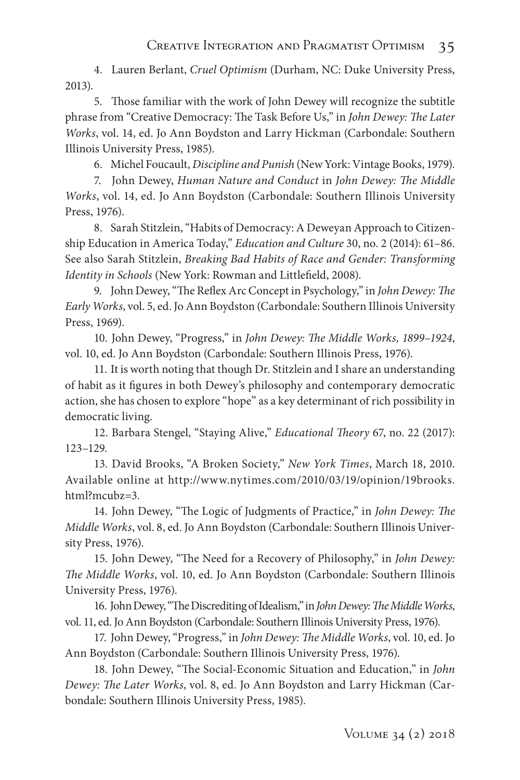4. Lauren Berlant, *Cruel Optimism* (Durham, NC: Duke University Press, 2013).

5. Those familiar with the work of John Dewey will recognize the subtitle phrase from "Creative Democracy: The Task Before Us," in *John Dewey: The Later Works*, vol. 14, ed. Jo Ann Boydston and Larry Hickman (Carbondale: Southern Illinois University Press, 1985).

6. Michel Foucault, *Discipline and Punish* (New York: Vintage Books, 1979).

7. John Dewey, *Human Nature and Conduct* in *John Dewey: The Middle Works*, vol. 14, ed. Jo Ann Boydston (Carbondale: Southern Illinois University Press, 1976).

8. Sarah Stitzlein, "Habits of Democracy: A Deweyan Approach to Citizenship Education in America Today," *Education and Culture* 30, no. 2 (2014): 61–86. See also Sarah Stitzlein, *Breaking Bad Habits of Race and Gender: Transforming Identity in Schools* (New York: Rowman and Littlefield, 2008).

9. John Dewey, "The Reflex Arc Concept in Psychology," in *John Dewey: The Early Works*, vol. 5, ed. Jo Ann Boydston (Carbondale: Southern Illinois University Press, 1969).

10. John Dewey, "Progress," in *John Dewey: The Middle Works, 1899–1924*, vol. 10, ed. Jo Ann Boydston (Carbondale: Southern Illinois Press, 1976).

11. It is worth noting that though Dr. Stitzlein and I share an understanding of habit as it figures in both Dewey's philosophy and contemporary democratic action, she has chosen to explore "hope" as a key determinant of rich possibility in democratic living.

12. Barbara Stengel, "Staying Alive," *Educational Theory* 67, no. 22 (2017): 123–129.

13. David Brooks, "A Broken Society," *New York Times*, March 18, 2010. Available online at http://www.nytimes.com/2010/03/19/opinion/19brooks. html?mcubz=3.

14. John Dewey, "The Logic of Judgments of Practice," in *John Dewey: The Middle Works*, vol. 8, ed. Jo Ann Boydston (Carbondale: Southern Illinois University Press, 1976).

15. John Dewey, "The Need for a Recovery of Philosophy," in *John Dewey: The Middle Works*, vol. 10, ed. Jo Ann Boydston (Carbondale: Southern Illinois University Press, 1976).

16. John Dewey, "The Discrediting of Idealism," in *John Dewey: The Middle Works*, vol. 11, ed. Jo Ann Boydston (Carbondale: Southern Illinois University Press, 1976).

17. John Dewey, "Progress," in *John Dewey: The Middle Works*, vol. 10, ed. Jo Ann Boydston (Carbondale: Southern Illinois University Press, 1976).

18. John Dewey, "The Social-Economic Situation and Education," in *John Dewey: The Later Works*, vol. 8, ed. Jo Ann Boydston and Larry Hickman (Carbondale: Southern Illinois University Press, 1985).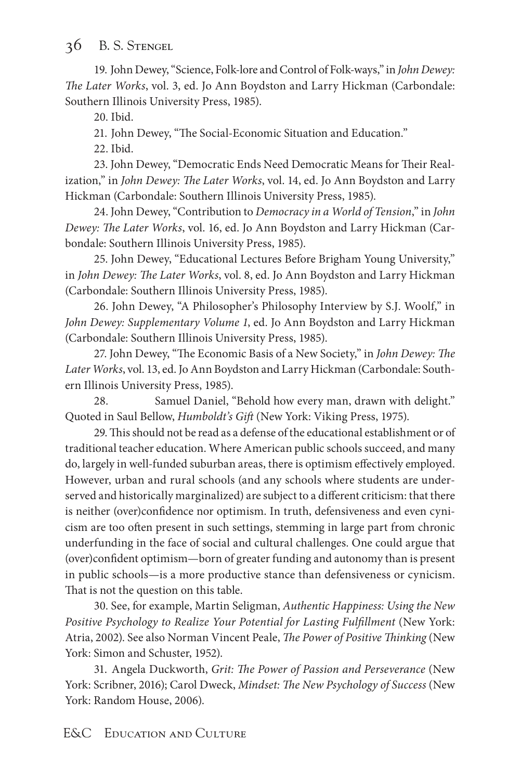19. John Dewey, "Science, Folk-lore and Control of Folk-ways," in *John Dewey: The Later Works*, vol. 3, ed. Jo Ann Boydston and Larry Hickman (Carbondale: Southern Illinois University Press, 1985).

20. Ibid.

21. John Dewey, "The Social-Economic Situation and Education."

22. Ibid.

23. John Dewey, "Democratic Ends Need Democratic Means for Their Realization," in *John Dewey: The Later Works*, vol. 14, ed. Jo Ann Boydston and Larry Hickman (Carbondale: Southern Illinois University Press, 1985).

24. John Dewey, "Contribution to *Democracy in a World of Tension*," in *John Dewey: The Later Works*, vol. 16, ed. Jo Ann Boydston and Larry Hickman (Carbondale: Southern Illinois University Press, 1985).

25. John Dewey, "Educational Lectures Before Brigham Young University," in *John Dewey: The Later Works*, vol. 8, ed. Jo Ann Boydston and Larry Hickman (Carbondale: Southern Illinois University Press, 1985).

26. John Dewey, "A Philosopher's Philosophy Interview by S.J. Woolf," in *John Dewey: Supplementary Volume 1*, ed. Jo Ann Boydston and Larry Hickman (Carbondale: Southern Illinois University Press, 1985).

27. John Dewey, "The Economic Basis of a New Society," in *John Dewey: The Later Works*, vol. 13, ed. Jo Ann Boydston and Larry Hickman (Carbondale: Southern Illinois University Press, 1985).

28. Samuel Daniel, "Behold how every man, drawn with delight." Quoted in Saul Bellow, *Humboldt's Gift* (New York: Viking Press, 1975).

29. This should not be read as a defense of the educational establishment or of traditional teacher education. Where American public schools succeed, and many do, largely in well-funded suburban areas, there is optimism effectively employed. However, urban and rural schools (and any schools where students are underserved and historically marginalized) are subject to a different criticism: that there is neither (over)confidence nor optimism. In truth, defensiveness and even cynicism are too often present in such settings, stemming in large part from chronic underfunding in the face of social and cultural challenges. One could argue that (over)confident optimism—born of greater funding and autonomy than is present in public schools—is a more productive stance than defensiveness or cynicism. That is not the question on this table.

30. See, for example, Martin Seligman, *Authentic Happiness: Using the New Positive Psychology to Realize Your Potential for Lasting Fulfillment* (New York: Atria, 2002). See also Norman Vincent Peale, *The Power of Positive Thinking* (New York: Simon and Schuster, 1952).

31. Angela Duckworth, *Grit: The Power of Passion and Perseverance* (New York: Scribner, 2016); Carol Dweck, *Mindset: The New Psychology of Success* (New York: Random House, 2006).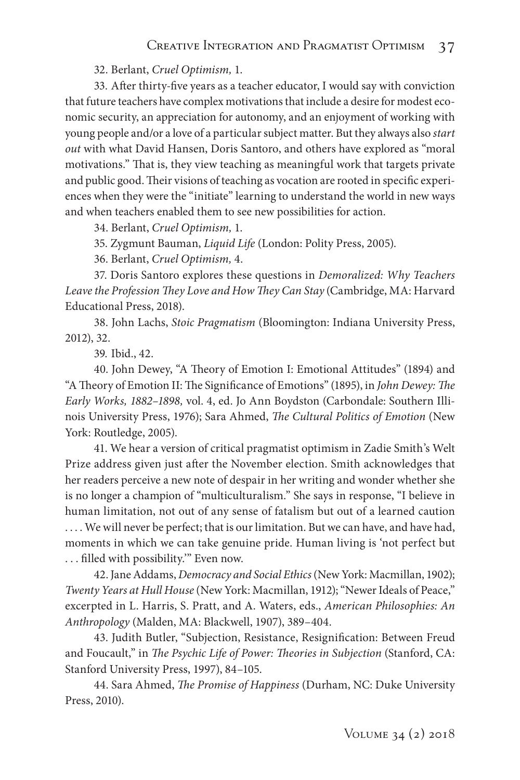32. Berlant, *Cruel Optimism,* 1.

33. After thirty-five years as a teacher educator, I would say with conviction that future teachers have complex motivations that include a desire for modest economic security, an appreciation for autonomy, and an enjoyment of working with young people and/or a love of a particular subject matter. But they always also *start out* with what David Hansen, Doris Santoro, and others have explored as "moral motivations." That is, they view teaching as meaningful work that targets private and public good. Their visions of teaching as vocation are rooted in specific experiences when they were the "initiate" learning to understand the world in new ways and when teachers enabled them to see new possibilities for action.

34. Berlant, *Cruel Optimism,* 1.

35. Zygmunt Bauman, *Liquid Life* (London: Polity Press, 2005).

36. Berlant, *Cruel Optimism,* 4.

37. Doris Santoro explores these questions in *Demoralized: Why Teachers Leave the Profession They Love and How They Can Stay* (Cambridge, MA: Harvard Educational Press, 2018).

38. John Lachs, *Stoic Pragmatism* (Bloomington: Indiana University Press, 2012), 32.

39. Ibid., 42.

40. John Dewey, "A Theory of Emotion I: Emotional Attitudes" (1894) and "A Theory of Emotion II: The Significance of Emotions" (1895), in *John Dewey: The Early Works, 1882–1898,* vol. 4, ed. Jo Ann Boydston (Carbondale: Southern Illinois University Press, 1976); Sara Ahmed, *The Cultural Politics of Emotion* (New York: Routledge, 2005).

41. We hear a version of critical pragmatist optimism in Zadie Smith's Welt Prize address given just after the November election. Smith acknowledges that her readers perceive a new note of despair in her writing and wonder whether she is no longer a champion of "multiculturalism." She says in response, "I believe in human limitation, not out of any sense of fatalism but out of a learned caution .... We will never be perfect; that is our limitation. But we can have, and have had, moments in which we can take genuine pride. Human living is 'not perfect but . . . filled with possibility.'" Even now.

42. Jane Addams, *Democracy and Social Ethics* (New York: Macmillan, 1902); *Twenty Years at Hull House* (New York: Macmillan, 1912); "Newer Ideals of Peace," excerpted in L. Harris, S. Pratt, and A. Waters, eds., *American Philosophies: An Anthropology* (Malden, MA: Blackwell, 1907), 389–404.

43. Judith Butler, "Subjection, Resistance, Resignification: Between Freud and Foucault," in *The Psychic Life of Power: Theories in Subjection* (Stanford, CA: Stanford University Press, 1997), 84–105.

44. Sara Ahmed, *The Promise of Happiness* (Durham, NC: Duke University Press, 2010).